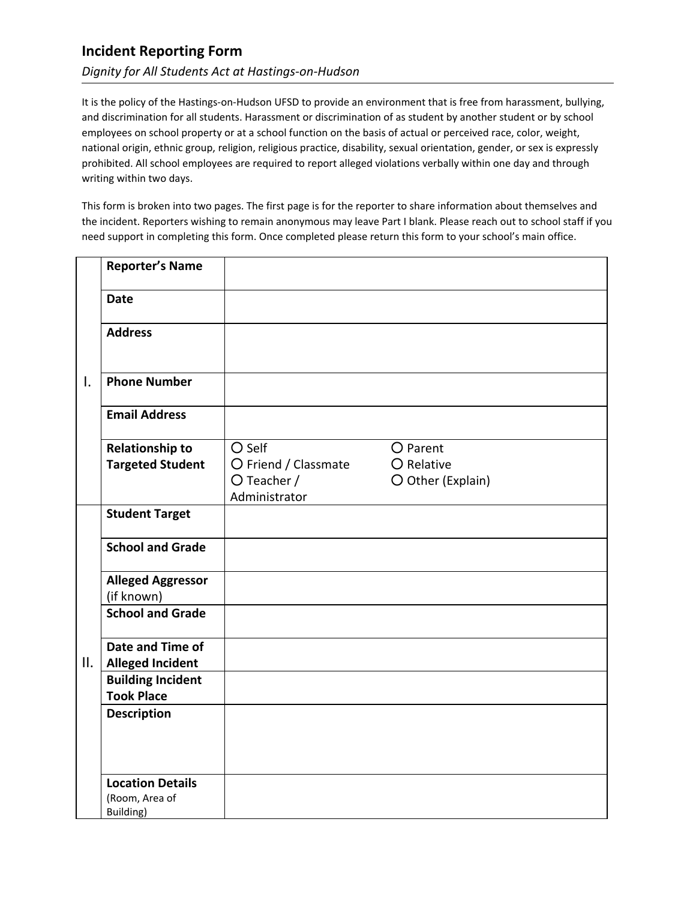## **Incident Reporting Form**

## *Dignity for All Students Act at Hastings-on-Hudson*

It is the policy of the Hastings-on-Hudson UFSD to provide an environment that is free from harassment, bullying, and discrimination for all students. Harassment or discrimination of as student by another student or by school employees on school property or at a school function on the basis of actual or perceived race, color, weight, national origin, ethnic group, religion, religious practice, disability, sexual orientation, gender, or sex is expressly prohibited. All school employees are required to report alleged violations verbally within one day and through writing within two days.

This form is broken into two pages. The first page is for the reporter to share information about themselves and the incident. Reporters wishing to remain anonymous may leave Part I blank. Please reach out to school staff if you need support in completing this form. Once completed please return this form to your school's main office.

| $\mathsf{I}$ . | <b>Reporter's Name</b>                                 |                              |                   |
|----------------|--------------------------------------------------------|------------------------------|-------------------|
|                |                                                        |                              |                   |
|                | <b>Date</b>                                            |                              |                   |
|                | <b>Address</b>                                         |                              |                   |
|                |                                                        |                              |                   |
|                | <b>Phone Number</b>                                    |                              |                   |
|                | <b>Email Address</b>                                   |                              |                   |
|                | <b>Relationship to</b>                                 | O Self                       | O Parent          |
|                | <b>Targeted Student</b>                                | O Friend / Classmate         | O Relative        |
|                |                                                        | O Teacher /<br>Administrator | O Other (Explain) |
|                | <b>Student Target</b>                                  |                              |                   |
| П.             |                                                        |                              |                   |
|                | <b>School and Grade</b>                                |                              |                   |
|                | <b>Alleged Aggressor</b>                               |                              |                   |
|                | (if known)                                             |                              |                   |
|                | <b>School and Grade</b>                                |                              |                   |
|                | Date and Time of                                       |                              |                   |
|                | <b>Alleged Incident</b>                                |                              |                   |
|                | <b>Building Incident</b>                               |                              |                   |
|                | <b>Took Place</b>                                      |                              |                   |
|                | <b>Description</b>                                     |                              |                   |
|                |                                                        |                              |                   |
|                | <b>Location Details</b><br>(Room, Area of<br>Building) |                              |                   |